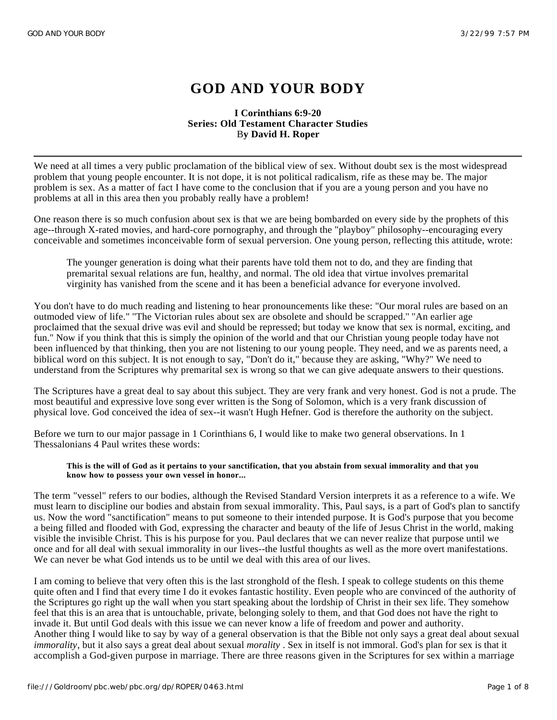# **GOD AND YOUR BODY**

## **I Corinthians 6:9-20 Series: Old Testament Character Studies** B**y David H. Roper**

We need at all times a very public proclamation of the biblical view of sex. Without doubt sex is the most widespread problem that young people encounter. It is not dope, it is not political radicalism, rife as these may be. The major problem is sex. As a matter of fact I have come to the conclusion that if you are a young person and you have no problems at all in this area then you probably really have a problem!

One reason there is so much confusion about sex is that we are being bombarded on every side by the prophets of this age--through X-rated movies, and hard-core pornography, and through the "playboy" philosophy--encouraging every conceivable and sometimes inconceivable form of sexual perversion. One young person, reflecting this attitude, wrote:

The younger generation is doing what their parents have told them not to do, and they are finding that premarital sexual relations are fun, healthy, and normal. The old idea that virtue involves premarital virginity has vanished from the scene and it has been a beneficial advance for everyone involved.

You don't have to do much reading and listening to hear pronouncements like these: "Our moral rules are based on an outmoded view of life." ''The Victorian rules about sex are obsolete and should be scrapped.'' ''An earlier age proclaimed that the sexual drive was evil and should be repressed; but today we know that sex is normal, exciting, and fun." Now if you think that this is simply the opinion of the world and that our Christian young people today have not been influenced by that thinking, then you are not listening to our young people. They need, and we as parents need, a biblical word on this subject. It is not enough to say, "Don't do it," because they are asking, "Why?" We need to understand from the Scriptures why premarital sex is wrong so that we can give adequate answers to their questions.

The Scriptures have a great deal to say about this subject. They are very frank and very honest. God is not a prude. The most beautiful and expressive love song ever written is the Song of Solomon, which is a very frank discussion of physical love. God conceived the idea of sex--it wasn't Hugh Hefner. God is therefore the authority on the subject.

Before we turn to our major passage in 1 Corinthians 6, I would like to make two general observations. In 1 Thessalonians 4 Paul writes these words:

#### **This is the will of God as it pertains to your sanctification, that you abstain from sexual immorality and that you know how to possess your own vessel in honor...**

The term "vessel" refers to our bodies, although the Revised Standard Version interprets it as a reference to a wife. We must learn to discipline our bodies and abstain from sexual immorality. This, Paul says, is a part of God's plan to sanctify us. Now the word "sanctification" means to put someone to their intended purpose. It is God's purpose that you become a being filled and flooded with God, expressing the character and beauty of the life of Jesus Christ in the world, making visible the invisible Christ. This is his purpose for you. Paul declares that we can never realize that purpose until we once and for all deal with sexual immorality in our lives--the lustful thoughts as well as the more overt manifestations. We can never be what God intends us to be until we deal with this area of our lives.

I am coming to believe that very often this is the last stronghold of the flesh. I speak to college students on this theme quite often and I find that every time I do it evokes fantastic hostility. Even people who are convinced of the authority of the Scriptures go right up the wall when you start speaking about the lordship of Christ in their sex life. They somehow feel that this is an area that is untouchable, private, belonging solely to them, and that God does not have the right to invade it. But until God deals with this issue we can never know a life of freedom and power and authority. Another thing I would like to say by way of a general observation is that the Bible not only says a great deal about sexual *immorality*, but it also says a great deal about sexual *morality* . Sex in itself is not immoral. God's plan for sex is that it accomplish a God-given purpose in marriage. There are three reasons given in the Scriptures for sex within a marriage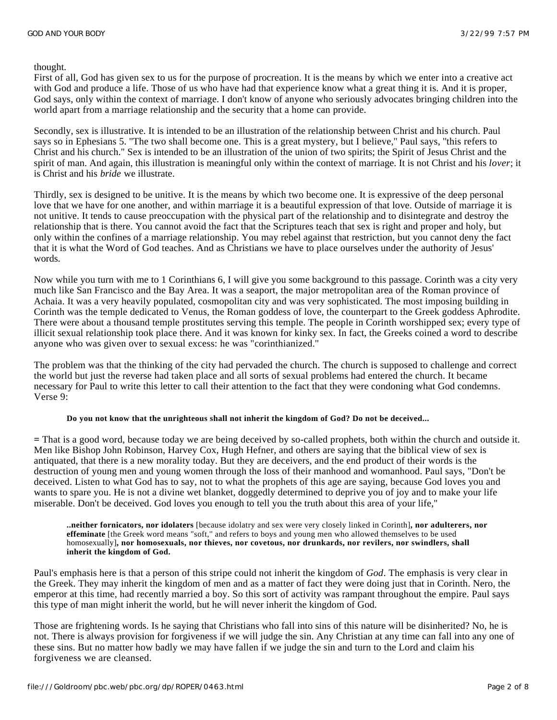thought.

First of all, God has given sex to us for the purpose of procreation. It is the means by which we enter into a creative act with God and produce a life. Those of us who have had that experience know what a great thing it is. And it is proper, God says, only within the context of marriage. I don't know of anyone who seriously advocates bringing children into the world apart from a marriage relationship and the security that a home can provide.

Secondly, sex is illustrative. It is intended to be an illustration of the relationship between Christ and his church. Paul says so in Ephesians 5. ''The two shall become one. This is a great mystery, but I believe,'' Paul says, ''this refers to Christ and his church." Sex is intended to be an illustration of the union of two spirits; the Spirit of Jesus Christ and the spirit of man. And again, this illustration is meaningful only within the context of marriage. It is not Christ and his *lover*; it is Christ and his *bride* we illustrate.

Thirdly, sex is designed to be unitive. It is the means by which two become one. It is expressive of the deep personal love that we have for one another, and within marriage it is a beautiful expression of that love. Outside of marriage it is not unitive. It tends to cause preoccupation with the physical part of the relationship and to disintegrate and destroy the relationship that is there. You cannot avoid the fact that the Scriptures teach that sex is right and proper and holy, but only within the confines of a marriage relationship. You may rebel against that restriction, but you cannot deny the fact that it is what the Word of God teaches. And as Christians we have to place ourselves under the authority of Jesus' words.

Now while you turn with me to 1 Corinthians 6, I will give you some background to this passage. Corinth was a city very much like San Francisco and the Bay Area. It was a seaport, the major metropolitan area of the Roman province of Achaia. It was a very heavily populated, cosmopolitan city and was very sophisticated. The most imposing building in Corinth was the temple dedicated to Venus, the Roman goddess of love, the counterpart to the Greek goddess Aphrodite. There were about a thousand temple prostitutes serving this temple. The people in Corinth worshipped sex; every type of illicit sexual relationship took place there. And it was known for kinky sex. In fact, the Greeks coined a word to describe anyone who was given over to sexual excess: he was "corinthianized.''

The problem was that the thinking of the city had pervaded the church. The church is supposed to challenge and correct the world but just the reverse had taken place and all sorts of sexual problems had entered the church. It became necessary for Paul to write this letter to call their attention to the fact that they were condoning what God condemns. Verse 9:

#### **Do you not know that the unrighteous shall not inherit the kingdom of God? Do not be deceived...**

**=** That is a good word, because today we are being deceived by so-called prophets, both within the church and outside it. Men like Bishop John Robinson, Harvey Cox, Hugh Hefner, and others are saying that the biblical view of sex is antiquated, that there is a new morality today. But they are deceivers, and the end product of their words is the destruction of young men and young women through the loss of their manhood and womanhood. Paul says, "Don't be deceived. Listen to what God has to say, not to what the prophets of this age are saying, because God loves you and wants to spare you. He is not a divine wet blanket, doggedly determined to deprive you of joy and to make your life miserable. Don't be deceived. God loves you enough to tell you the truth about this area of your life,''

**..neither fornicators, nor idolaters** [because idolatry and sex were very closely linked in Corinth]**, nor adulterers, nor effeminate** [the Greek word means "soft,'' and refers to boys and young men who allowed themselves to be used homosexually]**, nor homosexuals, nor thieves, nor covetous, nor drunkards, nor revilers, nor swindlers, shall inherit the kingdom of God.**

Paul's emphasis here is that a person of this stripe could not inherit the kingdom of *God*. The emphasis is very clear in the Greek. They may inherit the kingdom of men and as a matter of fact they were doing just that in Corinth. Nero, the emperor at this time, had recently married a boy. So this sort of activity was rampant throughout the empire. Paul says this type of man might inherit the world, but he will never inherit the kingdom of God.

Those are frightening words. Is he saying that Christians who fall into sins of this nature will be disinherited? No, he is not. There is always provision for forgiveness if we will judge the sin. Any Christian at any time can fall into any one of these sins. But no matter how badly we may have fallen if we judge the sin and turn to the Lord and claim his forgiveness we are cleansed.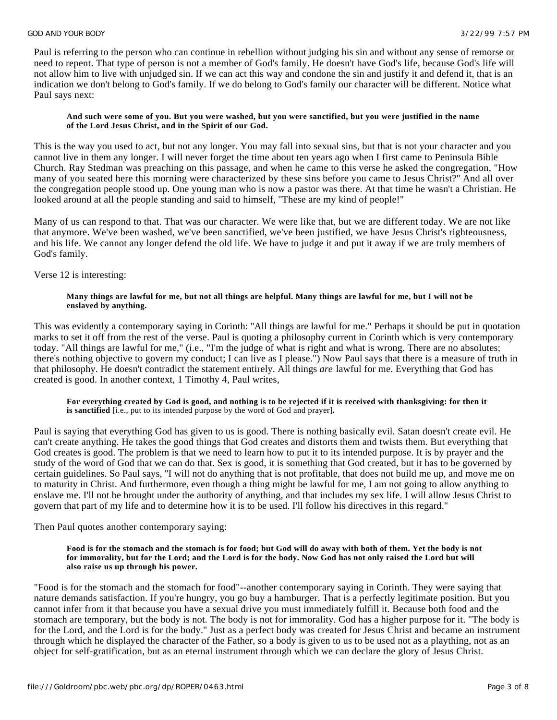Paul is referring to the person who can continue in rebellion without judging his sin and without any sense of remorse or need to repent. That type of person is not a member of God's family. He doesn't have God's life, because God's life will not allow him to live with unjudged sin. If we can act this way and condone the sin and justify it and defend it, that is an indication we don't belong to God's family. If we do belong to God's family our character will be different. Notice what Paul says next:

#### **And such were some of you. But you were washed, but you were sanctified, but you were justified in the name of the Lord Jesus Christ, and in the Spirit of our God.**

This is the way you used to act, but not any longer. You may fall into sexual sins, but that is not your character and you cannot live in them any longer. I will never forget the time about ten years ago when I first came to Peninsula Bible Church. Ray Stedman was preaching on this passage, and when he came to this verse he asked the congregation, "How many of you seated here this morning were characterized by these sins before you came to Jesus Christ?'' And all over the congregation people stood up. One young man who is now a pastor was there. At that time he wasn't a Christian. He looked around at all the people standing and said to himself, ''These are my kind of people!"

Many of us can respond to that. That was our character. We were like that, but we are different today. We are not like that anymore. We've been washed, we've been sanctified, we've been justified, we have Jesus Christ's righteousness, and his life. We cannot any longer defend the old life. We have to judge it and put it away if we are truly members of God's family.

Verse 12 is interesting:

#### **Many things are lawful for me, but not all things are helpful. Many things are lawful for me, but I will not be enslaved by anything.**

This was evidently a contemporary saying in Corinth: ''All things are lawful for me." Perhaps it should be put in quotation marks to set it off from the rest of the verse. Paul is quoting a philosophy current in Corinth which is very contemporary today. "All things are lawful for me," (i.e., "I'm the judge of what is right and what is wrong. There are no absolutes; there's nothing objective to govern my conduct; I can live as I please.") Now Paul says that there is a measure of truth in that philosophy. He doesn't contradict the statement entirely. All things *are* lawful for me. Everything that God has created is good. In another context, 1 Timothy 4, Paul writes,

**For everything created by God is good, and nothing is to be rejected if it is received with thanksgiving: for then it is sanctified** [i.e., put to its intended purpose by the word of God and prayer]**.**

Paul is saying that everything God has given to us is good. There is nothing basically evil. Satan doesn't create evil. He can't create anything. He takes the good things that God creates and distorts them and twists them. But everything that God creates is good. The problem is that we need to learn how to put it to its intended purpose. It is by prayer and the study of the word of God that we can do that. Sex is good, it is something that God created, but it has to be governed by certain guidelines. So Paul says, ''I will not do anything that is not profitable, that does not build me up, and move me on to maturity in Christ. And furthermore, even though a thing might be lawful for me, I am not going to allow anything to enslave me. I'll not be brought under the authority of anything, and that includes my sex life. I will allow Jesus Christ to govern that part of my life and to determine how it is to be used. I'll follow his directives in this regard."

Then Paul quotes another contemporary saying:

#### **Food is for the stomach and the stomach is for food; but God will do away with both of them. Yet the body is not for immorality, but for the Lord; and the Lord is for the body. Now God has not only raised the Lord but will also raise us up through his power.**

"Food is for the stomach and the stomach for food"--another contemporary saying in Corinth. They were saying that nature demands satisfaction. If you're hungry, you go buy a hamburger. That is a perfectly legitimate position. But you cannot infer from it that because you have a sexual drive you must immediately fulfill it. Because both food and the stomach are temporary, but the body is not. The body is not for immorality. God has a higher purpose for it. "The body is for the Lord, and the Lord is for the body.'' Just as a perfect body was created for Jesus Christ and became an instrument through which he displayed the character of the Father, so a body is given to us to be used not as a plaything, not as an object for self-gratification, but as an eternal instrument through which we can declare the glory of Jesus Christ.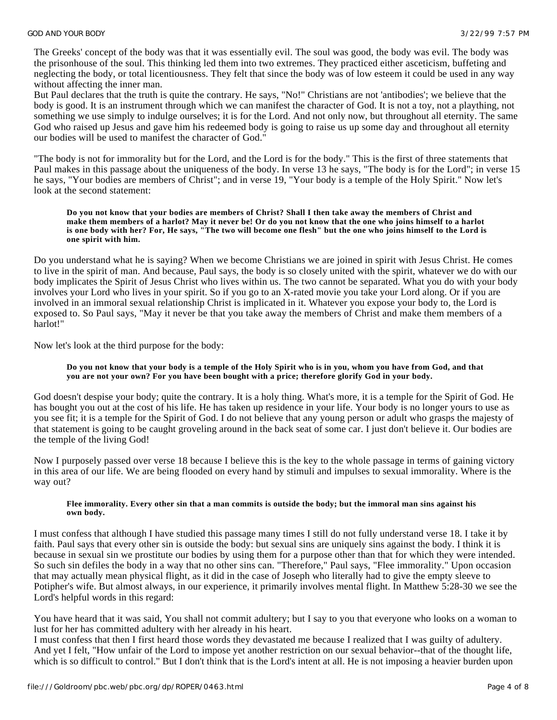The Greeks' concept of the body was that it was essentially evil. The soul was good, the body was evil. The body was the prisonhouse of the soul. This thinking led them into two extremes. They practiced either asceticism, buffeting and neglecting the body, or total licentiousness. They felt that since the body was of low esteem it could be used in any way without affecting the inner man.

But Paul declares that the truth is quite the contrary. He says, "No!" Christians are not 'antibodies'; we believe that the body is good. It is an instrument through which we can manifest the character of God. It is not a toy, not a plaything, not something we use simply to indulge ourselves; it is for the Lord. And not only now, but throughout all eternity. The same God who raised up Jesus and gave him his redeemed body is going to raise us up some day and throughout all eternity our bodies will be used to manifest the character of God."

"The body is not for immorality but for the Lord, and the Lord is for the body." This is the first of three statements that Paul makes in this passage about the uniqueness of the body. In verse 13 he says, "The body is for the Lord"; in verse 15 he says, "Your bodies are members of Christ"; and in verse 19, "Your body is a temple of the Holy Spirit." Now let's look at the second statement:

#### **Do you not know that your bodies are members of Christ? Shall I then take away the members of Christ and make them members of a harlot? May it never be! Or do you not know that the one who joins himself to a harlot is one body with her? For, He says, "The two will become one flesh" but the one who joins himself to the Lord is one spirit with him.**

Do you understand what he is saying? When we become Christians we are joined in spirit with Jesus Christ. He comes to live in the spirit of man. And because, Paul says, the body is so closely united with the spirit, whatever we do with our body implicates the Spirit of Jesus Christ who lives within us. The two cannot be separated. What you do with your body involves your Lord who lives in your spirit. So if you go to an X-rated movie you take your Lord along. Or if you are involved in an immoral sexual relationship Christ is implicated in it. Whatever you expose your body to, the Lord is exposed to. So Paul says, "May it never be that you take away the members of Christ and make them members of a harlot!"

Now let's look at the third purpose for the body:

### **Do you not know that your body is a temple of the Holy Spirit who is in you, whom you have from God, and that you are not your own? For you have been bought with a price; therefore glorify God in your body.**

God doesn't despise your body; quite the contrary. It is a holy thing. What's more, it is a temple for the Spirit of God. He has bought you out at the cost of his life. He has taken up residence in your life. Your body is no longer yours to use as you see fit; it is a temple for the Spirit of God. I do not believe that any young person or adult who grasps the majesty of that statement is going to be caught groveling around in the back seat of some car. I just don't believe it. Our bodies are the temple of the living God!

Now I purposely passed over verse 18 because I believe this is the key to the whole passage in terms of gaining victory in this area of our life. We are being flooded on every hand by stimuli and impulses to sexual immorality. Where is the way out?

#### **Flee immorality. Every other sin that a man commits is outside the body; but the immoral man sins against his own body.**

I must confess that although I have studied this passage many times I still do not fully understand verse 18. I take it by faith. Paul says that every other sin is outside the body: but sexual sins are uniquely sins against the body. I think it is because in sexual sin we prostitute our bodies by using them for a purpose other than that for which they were intended. So such sin defiles the body in a way that no other sins can. "Therefore," Paul says, "Flee immorality." Upon occasion that may actually mean physical flight, as it did in the case of Joseph who literally had to give the empty sleeve to Potipher's wife. But almost always, in our experience, it primarily involves mental flight. In Matthew 5:28-30 we see the Lord's helpful words in this regard:

You have heard that it was said, You shall not commit adultery; but I say to you that everyone who looks on a woman to lust for her has committed adultery with her already in his heart.

I must confess that then I first heard those words they devastated me because I realized that I was guilty of adultery. And yet I felt, "How unfair of the Lord to impose yet another restriction on our sexual behavior--that of the thought life, which is so difficult to control." But I don't think that is the Lord's intent at all. He is not imposing a heavier burden upon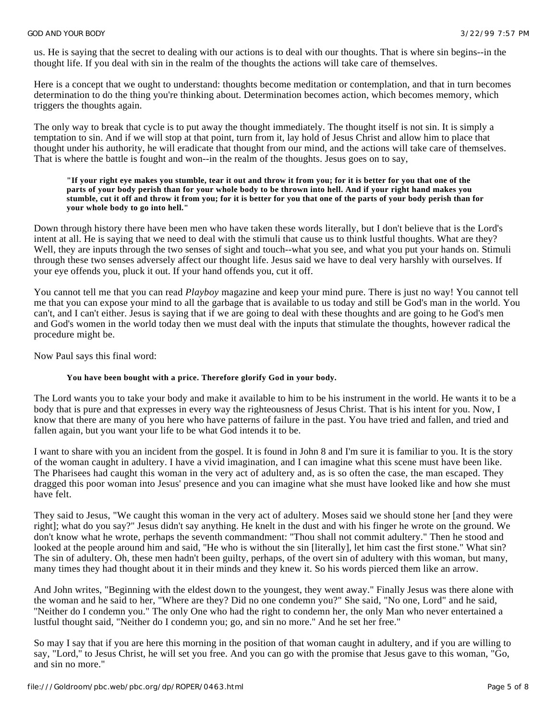us. He is saying that the secret to dealing with our actions is to deal with our thoughts. That is where sin begins--in the thought life. If you deal with sin in the realm of the thoughts the actions will take care of themselves.

Here is a concept that we ought to understand: thoughts become meditation or contemplation, and that in turn becomes determination to do the thing you're thinking about. Determination becomes action, which becomes memory, which triggers the thoughts again.

The only way to break that cycle is to put away the thought immediately. The thought itself is not sin. It is simply a temptation to sin. And if we will stop at that point, turn from it, lay hold of Jesus Christ and allow him to place that thought under his authority, he will eradicate that thought from our mind, and the actions will take care of themselves. That is where the battle is fought and won--in the realm of the thoughts. Jesus goes on to say,

#### **"If your right eye makes you stumble, tear it out and throw it from you; for it is better for you that one of the parts of your body perish than for your whole body to be thrown into hell. And if your right hand makes you stumble, cut it off and throw it from you; for it is better for you that one of the parts of your body perish than for your whole body to go into hell."**

Down through history there have been men who have taken these words literally, but I don't believe that is the Lord's intent at all. He is saying that we need to deal with the stimuli that cause us to think lustful thoughts. What are they? Well, they are inputs through the two senses of sight and touch--what you see, and what you put your hands on. Stimuli through these two senses adversely affect our thought life. Jesus said we have to deal very harshly with ourselves. If your eye offends you, pluck it out. If your hand offends you, cut it off.

You cannot tell me that you can read *Playboy* magazine and keep your mind pure. There is just no way! You cannot tell me that you can expose your mind to all the garbage that is available to us today and still be God's man in the world. You can't, and I can't either. Jesus is saying that if we are going to deal with these thoughts and are going to he God's men and God's women in the world today then we must deal with the inputs that stimulate the thoughts, however radical the procedure might be.

Now Paul says this final word:

## **You have been bought with a price. Therefore glorify God in your body.**

The Lord wants you to take your body and make it available to him to be his instrument in the world. He wants it to be a body that is pure and that expresses in every way the righteousness of Jesus Christ. That is his intent for you. Now, I know that there are many of you here who have patterns of failure in the past. You have tried and fallen, and tried and fallen again, but you want your life to be what God intends it to be.

I want to share with you an incident from the gospel. It is found in John 8 and I'm sure it is familiar to you. It is the story of the woman caught in adultery. I have a vivid imagination, and I can imagine what this scene must have been like. The Pharisees had caught this woman in the very act of adultery and, as is so often the case, the man escaped. They dragged this poor woman into Jesus' presence and you can imagine what she must have looked like and how she must have felt.

They said to Jesus, "We caught this woman in the very act of adultery. Moses said we should stone her [and they were right]; what do you say?" Jesus didn't say anything. He knelt in the dust and with his finger he wrote on the ground. We don't know what he wrote, perhaps the seventh commandment: ''Thou shall not commit adultery." Then he stood and looked at the people around him and said, "He who is without the sin [literally], let him cast the first stone." What sin? The sin of adultery. Oh, these men hadn't been guilty, perhaps, of the overt sin of adultery with this woman, but many, many times they had thought about it in their minds and they knew it. So his words pierced them like an arrow.

And John writes, "Beginning with the eldest down to the youngest, they went away." Finally Jesus was there alone with the woman and he said to her, "Where are they? Did no one condemn you?" She said, "No one, Lord" and he said, ''Neither do I condemn you." The only One who had the right to condemn her, the only Man who never entertained a lustful thought said, "Neither do I condemn you; go, and sin no more.'' And he set her free."

So may I say that if you are here this morning in the position of that woman caught in adultery, and if you are willing to say, "Lord,'' to Jesus Christ, he will set you free. And you can go with the promise that Jesus gave to this woman, "Go, and sin no more."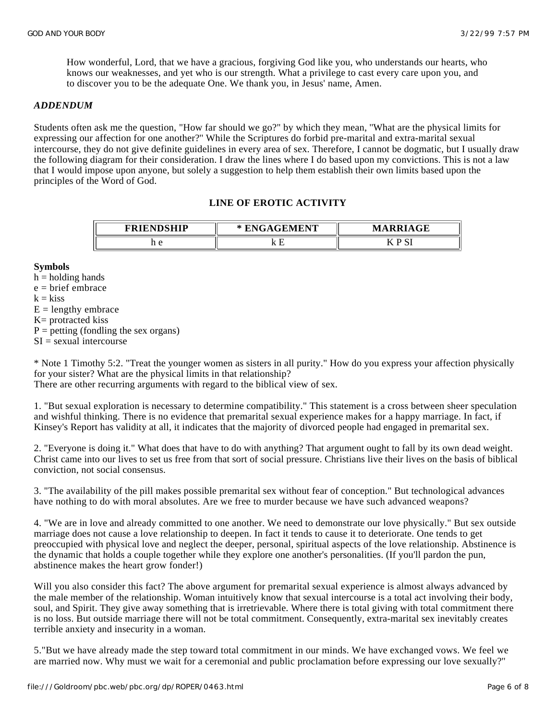How wonderful, Lord, that we have a gracious, forgiving God like you, who understands our hearts, who knows our weaknesses, and yet who is our strength. What a privilege to cast every care upon you, and to discover you to be the adequate One. We thank you, in Jesus' name, Amen.

## *ADDENDUM*

Students often ask me the question, "How far should we go?" by which they mean, ''What are the physical limits for expressing our affection for one another?'' While the Scriptures do forbid pre-marital and extra-marital sexual intercourse, they do not give definite guidelines in every area of sex. Therefore, I cannot be dogmatic, but I usually draw the following diagram for their consideration. I draw the lines where I do based upon my convictions. This is not a law that I would impose upon anyone, but solely a suggestion to help them establish their own limits based upon the principles of the Word of God.

## **LINE OF EROTIC ACTIVITY**

| <b>FDIFNDCHIP</b><br>,,,,,,, | <b>DR EDRIED</b><br>'NI<br>$\sim$ | <b>DDILOR</b><br>M<br>uľ    |
|------------------------------|-----------------------------------|-----------------------------|
| $\mathbf{H}$                 |                                   | $\sim$ $\sim$<br>-<br>◡<br> |

#### **Symbols**

 $h =$  holding hands  $e = b$ rief embrace

 $k = k$ iss

 $E =$  lengthy embrace

- K= protracted kiss
- $P =$  petting (fondling the sex organs)
- $SI =$  sexual intercourse

\* Note 1 Timothy 5:2. "Treat the younger women as sisters in all purity." How do you express your affection physically for your sister? What are the physical limits in that relationship?

There are other recurring arguments with regard to the biblical view of sex.

1. "But sexual exploration is necessary to determine compatibility." This statement is a cross between sheer speculation and wishful thinking. There is no evidence that premarital sexual experience makes for a happy marriage. In fact, if Kinsey's Report has validity at all, it indicates that the majority of divorced people had engaged in premarital sex.

2. "Everyone is doing it." What does that have to do with anything? That argument ought to fall by its own dead weight. Christ came into our lives to set us free from that sort of social pressure. Christians live their lives on the basis of biblical conviction, not social consensus.

3. "The availability of the pill makes possible premarital sex without fear of conception." But technological advances have nothing to do with moral absolutes. Are we free to murder because we have such advanced weapons?

4. "We are in love and already committed to one another. We need to demonstrate our love physically." But sex outside marriage does not cause a love relationship to deepen. In fact it tends to cause it to deteriorate. One tends to get preoccupied with physical love and neglect the deeper, personal, spiritual aspects of the love relationship. Abstinence is the dynamic that holds a couple together while they explore one another's personalities. (If you'll pardon the pun, abstinence makes the heart grow fonder!)

Will you also consider this fact? The above argument for premarital sexual experience is almost always advanced by the male member of the relationship. Woman intuitively know that sexual intercourse is a total act involving their body, soul, and Spirit. They give away something that is irretrievable. Where there is total giving with total commitment there is no loss. But outside marriage there will not be total commitment. Consequently, extra-marital sex inevitably creates terrible anxiety and insecurity in a woman.

5."But we have already made the step toward total commitment in our minds. We have exchanged vows. We feel we are married now. Why must we wait for a ceremonial and public proclamation before expressing our love sexually?''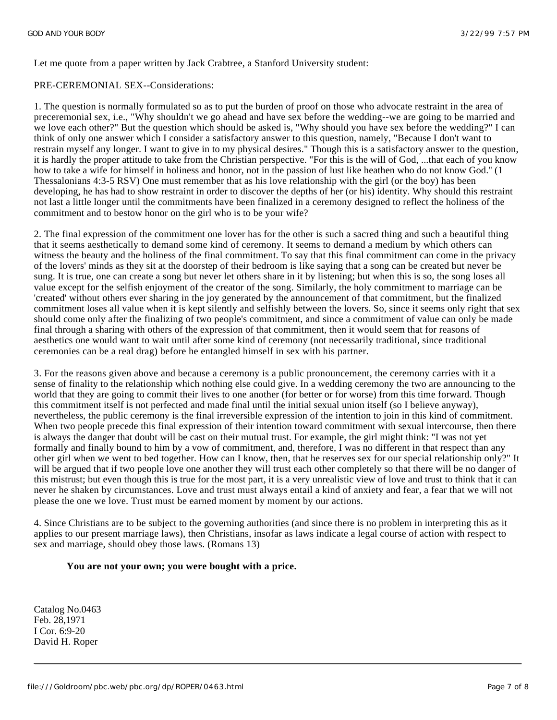Let me quote from a paper written by Jack Crabtree, a Stanford University student:

## PRE-CEREMONIAL SEX--Considerations:

1. The question is normally formulated so as to put the burden of proof on those who advocate restraint in the area of preceremonial sex, i.e., "Why shouldn't we go ahead and have sex before the wedding--we are going to be married and we love each other?" But the question which should be asked is, "Why should you have sex before the wedding?" I can think of only one answer which I consider a satisfactory answer to this question, namely, "Because I don't want to restrain myself any longer. I want to give in to my physical desires." Though this is a satisfactory answer to the question, it is hardly the proper attitude to take from the Christian perspective. "For this is the will of God, ...that each of you know how to take a wife for himself in holiness and honor, not in the passion of lust like heathen who do not know God.'' (1 Thessalonians 4:3-5 RSV) One must remember that as his love relationship with the girl (or the boy) has been developing, he has had to show restraint in order to discover the depths of her (or his) identity. Why should this restraint not last a little longer until the commitments have been finalized in a ceremony designed to reflect the holiness of the commitment and to bestow honor on the girl who is to be your wife?

2. The final expression of the commitment one lover has for the other is such a sacred thing and such a beautiful thing that it seems aesthetically to demand some kind of ceremony. It seems to demand a medium by which others can witness the beauty and the holiness of the final commitment. To say that this final commitment can come in the privacy of the lovers' minds as they sit at the doorstep of their bedroom is like saying that a song can be created but never be sung. It is true, one can create a song but never let others share in it by listening; but when this is so, the song loses all value except for the selfish enjoyment of the creator of the song. Similarly, the holy commitment to marriage can be 'created' without others ever sharing in the joy generated by the announcement of that commitment, but the finalized commitment loses all value when it is kept silently and selfishly between the lovers. So, since it seems only right that sex should come only after the finalizing of two people's commitment, and since a commitment of value can only be made final through a sharing with others of the expression of that commitment, then it would seem that for reasons of aesthetics one would want to wait until after some kind of ceremony (not necessarily traditional, since traditional ceremonies can be a real drag) before he entangled himself in sex with his partner.

3. For the reasons given above and because a ceremony is a public pronouncement, the ceremony carries with it a sense of finality to the relationship which nothing else could give. In a wedding ceremony the two are announcing to the world that they are going to commit their lives to one another (for better or for worse) from this time forward. Though this commitment itself is not perfected and made final until the initial sexual union itself (so I believe anyway), nevertheless, the public ceremony is the final irreversible expression of the intention to join in this kind of commitment. When two people precede this final expression of their intention toward commitment with sexual intercourse, then there is always the danger that doubt will be cast on their mutual trust. For example, the girl might think: "I was not yet formally and finally bound to him by a vow of commitment, and, therefore, I was no different in that respect than any other girl when we went to bed together. How can I know, then, that he reserves sex for our special relationship only?" It will be argued that if two people love one another they will trust each other completely so that there will be no danger of this mistrust; but even though this is true for the most part, it is a very unrealistic view of love and trust to think that it can never he shaken by circumstances. Love and trust must always entail a kind of anxiety and fear, a fear that we will not please the one we love. Trust must be earned moment by moment by our actions.

4. Since Christians are to be subject to the governing authorities (and since there is no problem in interpreting this as it applies to our present marriage laws), then Christians, insofar as laws indicate a legal course of action with respect to sex and marriage, should obey those laws. (Romans 13)

## **You are not your own; you were bought with a price.**

Catalog No.0463 Feb. 28,1971 I Cor. 6:9-20 David H. Roper